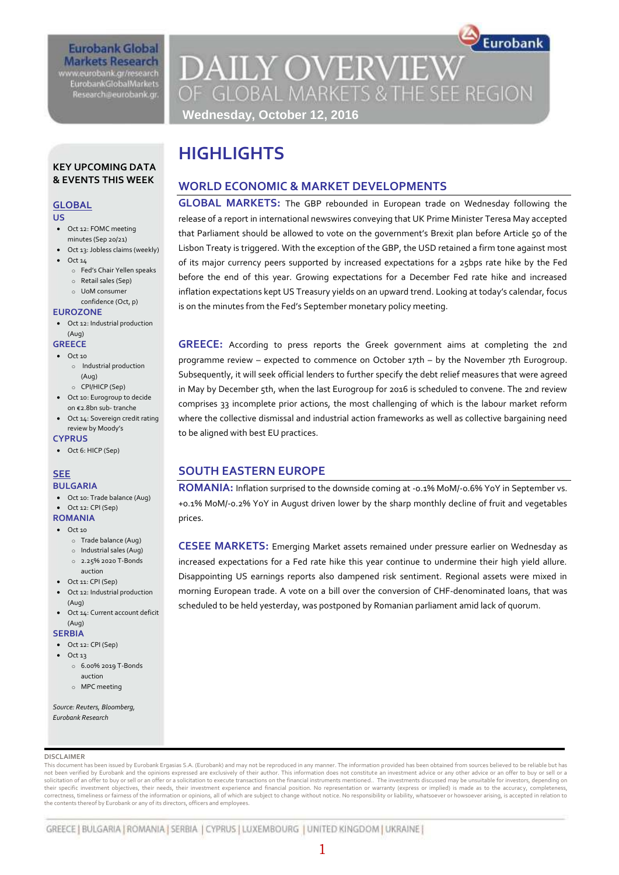#### **Eurobank Global Markets Research** www.eurobank.gr/research

**EurobankGlobalMarkets** Research@eurobank.gr

## **DAILY OVERVIEW** OF GLOBAL MARKETS & THE SEE REGION **Wednesday, October 12, 2016**

Eurobank

#### **KEY UPCOMING DATA & EVENTS THIS WEEK**

#### **GLOBAL**

#### **US**

- Oct 12: FOMC meeting
- minutes (Sep 20/21) Oct 13: Jobless claims (weekly)
- Oct 14
	- o Fed's Chair Yellen speaks
	- o Retail sales (Sep)
	- o UoM consumer confidence (Oct, p)

#### **EUROZONE**

 Oct 12: Industrial production (Aug)

#### **GREECE**

- $\bullet$  Oct 10
	- o Industrial production (Aug)
	- o CPI/HICP (Sep)
- Oct 10: Eurogroup to decide on €2.8bn sub- tranche
- Oct 14: Sovereign credit rating review by Moody's
- **CYPRUS** Oct 6: HICP (Sep)

#### **SEE BULGARIA**

- Oct 10: Trade balance (Aug)
- Oct 12: CPI (Sep)

#### **ROMANIA**  $\bullet$  Oct 10

- o Trade balance (Aug)
- o Industrial sales (Aug)
- o 2.25% 2020 T-Bonds
- auction
- Oct 11: CPI (Sep) Oct 12: Industrial production
- (Aug)
- Oct 14: Current account deficit (Aug)

#### **SERBIA**

- Oct 12: CPI (Sep)
- $\bullet$  Oct 13
	- o 6.00% 2019 T-Bonds auction
	- o MPC meeting

#### *Source: Reuters, Bloomberg, Eurobank Research*

#### **DISCLAIMER**

This document has been issued by Eurobank Ergasias S.A. (Eurobank) and may not be reproduced in any manner. The information provided has been obtained from sources believed to be reliable but has not been verified by Eurobank and the opinions expressed are exclusively of their author. This information does not constitute an investment advice or any other advice or an offer to buy or sell or a solicitation of an offer to buy or sell or an offer or a solicitation to execute transactions on the financial instruments mentioned.. The investments discussed may be unsuitable for investors, depending on<br>their specific correctness, timeliness or fairness of the information or opinions, all of which are subject to change without notice. No responsibility or liability, whatsoever or howsoever arising, is accepted in relation to the contents thereof by Eurobank or any of its directors, officers and employees.

## **HIGHLIGHTS**

#### **WORLD ECONOMIC & MARKET DEVELOPMENTS**

**GLOBAL MARKETS:** The GBP rebounded in European trade on Wednesday following the release of a report in international newswires conveying that UK Prime Minister Teresa May accepted that Parliament should be allowed to vote on the government's Brexit plan before Article 50 of the Lisbon Treaty is triggered. With the exception of the GBP, the USD retained a firm tone against most of its major currency peers supported by increased expectations for a 25bps rate hike by the Fed before the end of this year. Growing expectations for a December Fed rate hike and increased inflation expectations kept US Treasury yields on an upward trend. Looking at today's calendar, focus is on the minutes from the Fed's September monetary policy meeting.

**GREECE:** According to press reports the Greek government aims at completing the 2nd programme review – expected to commence on October 17th – by the November 7th Eurogroup. Subsequently, it will seek official lenders to further specify the debt relief measures that were agreed in May by December 5th, when the last Eurogroup for 2016 is scheduled to convene. The 2nd review comprises 33 incomplete prior actions, the most challenging of which is the labour market reform where the collective dismissal and industrial action frameworks as well as collective bargaining need to be aligned with best EU practices.

### **SOUTH EASTERN EUROPE**

**ROMANIA:** Inflation surprised to the downside coming at -0.1% MoM/-0.6% YoY in September vs. +0.1% MoM/-0.2% YoY in August driven lower by the sharp monthly decline of fruit and vegetables prices.

**CESEE MARKETS:** Emerging Market assets remained under pressure earlier on Wednesday as increased expectations for a Fed rate hike this year continue to undermine their high yield allure. Disappointing US earnings reports also dampened risk sentiment. Regional assets were mixed in morning European trade. A vote on a bill over the conversion of CHF-denominated loans, that was scheduled to be held yesterday, was postponed by Romanian parliament amid lack of quorum.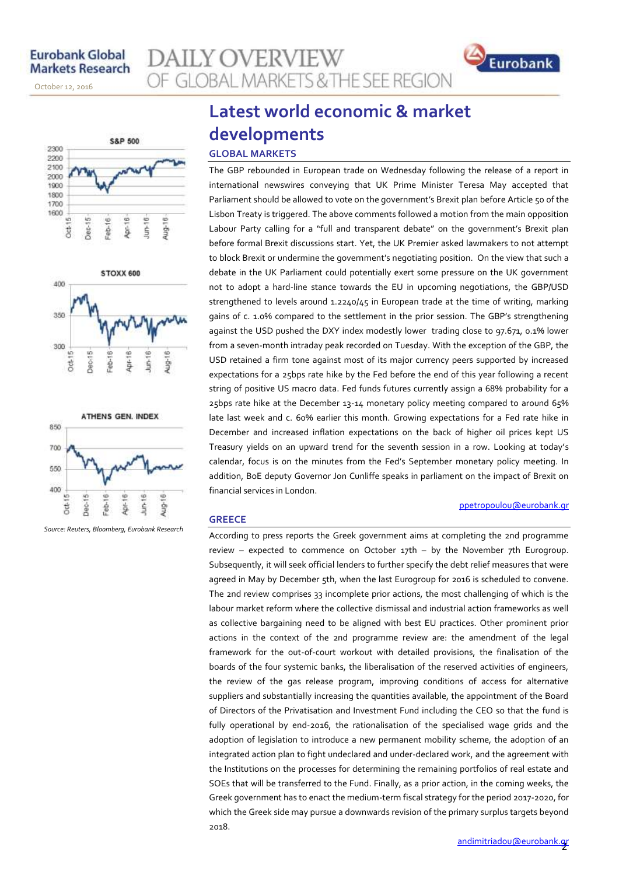November 14, 2013

October 12, 2016







*Source: Reuters, Bloomberg, Eurobank Research*

# **Latest world economic & market**

OF GLOBAL MARKETS & THE SEE REGION

### **developments GLOBAL MARKETS**

**AILY OVERVIEW** 

The GBP rebounded in European trade on Wednesday following the release of a report in international newswires conveying that UK Prime Minister Teresa May accepted that Parliament should be allowed to vote on the government's Brexit plan before Article 50 of the Lisbon Treaty is triggered. The above comments followed a motion from the main opposition Labour Party calling for a "full and transparent debate" on the government's Brexit plan before formal Brexit discussions start. Yet, the UK Premier asked lawmakers to not attempt to block Brexit or undermine the government's negotiating position. On the view that such a debate in the UK Parliament could potentially exert some pressure on the UK government not to adopt a hard-line stance towards the EU in upcoming negotiations, the GBP/USD strengthened to levels around 1.2240/45 in European trade at the time of writing, marking gains of c. 1.0% compared to the settlement in the prior session. The GBP's strengthening against the USD pushed the DXY index modestly lower trading close to 97.671, 0.1% lower from a seven-month intraday peak recorded on Tuesday. With the exception of the GBP, the USD retained a firm tone against most of its major currency peers supported by increased expectations for a 25bps rate hike by the Fed before the end of this year following a recent string of positive US macro data. Fed funds futures currently assign a 68% probability for a 25bps rate hike at the December 13-14 monetary policy meeting compared to around 65% late last week and c. 60% earlier this month. Growing expectations for a Fed rate hike in December and increased inflation expectations on the back of higher oil prices kept US Treasury yields on an upward trend for the seventh session in a row. Looking at today's calendar, focus is on the minutes from the Fed's September monetary policy meeting. In addition, BoE deputy Governor Jon Cunliffe speaks in parliament on the impact of Brexit on financial services in London.

#### **GREECE**

According to press reports the Greek government aims at completing the 2nd programme review – expected to commence on October 17th – by the November 7th Eurogroup. Subsequently, it will seek official lenders to further specify the debt relief measures that were agreed in May by December 5th, when the last Eurogroup for 2016 is scheduled to convene. The 2nd review comprises 33 incomplete prior actions, the most challenging of which is the labour market reform where the collective dismissal and industrial action frameworks as well as collective bargaining need to be aligned with best EU practices. Other prominent prior actions in the context of the 2nd programme review are: the amendment of the legal framework for the out-of-court workout with detailed provisions, the finalisation of the boards of the four systemic banks, the liberalisation of the reserved activities of engineers, the review of the gas release program, improving conditions of access for alternative suppliers and substantially increasing the quantities available, the appointment of the Board of Directors of the Privatisation and Investment Fund including the CEO so that the fund is fully operational by end-2016, the rationalisation of the specialised wage grids and the adoption of legislation to introduce a new permanent mobility scheme, the adoption of an integrated action plan to fight undeclared and under-declared work, and the agreement with the Institutions on the processes for determining the remaining portfolios of real estate and SOEs that will be transferred to the Fund. Finally, as a prior action, in the coming weeks, the Greek government has to enact the medium-term fiscal strategy for the period 2017-2020, for which the Greek side may pursue a downwards revision of the primary surplus targets beyond 2018.

[ppetropoulou@eurobank.gr](mailto:ppetropoulou@eurobank.gr)

Eurobank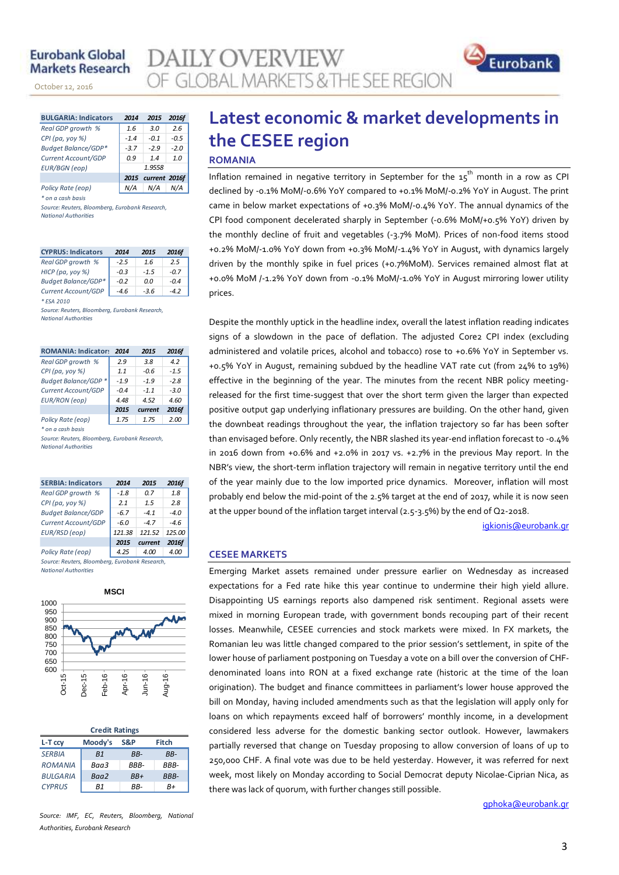#### **Eurobank Global Markets Research**

November 14, 2013

October 12, 2016

| <b>BULGARIA: Indicators</b> | 2014               | 2015   | <b>2016f</b> |  |  |  |
|-----------------------------|--------------------|--------|--------------|--|--|--|
| Real GDP growth %           | 1.6                | 3.0    | 2.6          |  |  |  |
| CPI (pa, yoy %)             | $-1.4$             | $-0.1$ | $-0.5$       |  |  |  |
| <b>Budget Balance/GDP*</b>  | $-3.7$             | $-2.9$ | $-2.0$       |  |  |  |
| Current Account/GDP         | 0.9                | 14     | 1.0          |  |  |  |
| <b>EUR/BGN</b> (eop)        | 1.9558             |        |              |  |  |  |
|                             | 2015 current 2016f |        |              |  |  |  |
| Policy Rate (eop)           |                    | N/A    |              |  |  |  |

*\* on a cash basis*

*Source: Reuters, Bloomberg, Eurobank Research, National Authorities*

| <b>CYPRUS: Indicators</b>  | 2014   | 2015   | 2016f  |
|----------------------------|--------|--------|--------|
| Real GDP growth %          | $-2.5$ | 1.6    | 2.5    |
| HICP (pa, yoy %)           | $-0.3$ | $-1.5$ | $-0.7$ |
| <b>Budget Balance/GDP*</b> | $-0.2$ | 0.0    | $-0.4$ |
| Current Account/GDP        | $-4.6$ | $-3.6$ | -42    |
| * ESA 2010                 |        |        |        |

*Source: Reuters, Bloomberg, Eurobank Research, National Authorities*

| <b>ROMANIA: Indicator:</b> | 2014   | 2015    | 2016f  |
|----------------------------|--------|---------|--------|
| Real GDP growth %          | 2.9    | 3.8     | 4.2    |
| CPI (pa, yoy %)            | 1.1    | $-0.6$  | $-1.5$ |
| Budget Balance/GDP *       | $-1.9$ | $-1.9$  | $-2.8$ |
| Current Account/GDP        | $-0.4$ | $-1.1$  | $-3.0$ |
| <b>EUR/RON</b> (eop)       | 4.48   | 4.52    | 4.60   |
|                            | 2015   | current | 2016f  |
| Policy Rate (eop)          | 1.75   | 1.75    | 2.00   |

*\* on a cash basis*

*Source: Reuters, Bloomberg, Eurobank Research, National Authorities*

| <b>SERBIA: Indicators</b>                      | 2014   | 2015    | 2016f  |  |  |  |  |  |
|------------------------------------------------|--------|---------|--------|--|--|--|--|--|
| Real GDP growth %                              | $-1.8$ | 0.7     | 1.8    |  |  |  |  |  |
| $CPI(pa, yoy \%)$                              | 21     | 1.5     | 2.8    |  |  |  |  |  |
| <b>Budget Balance/GDP</b>                      | $-6.7$ | $-41$   | $-4.0$ |  |  |  |  |  |
| Current Account/GDP                            | $-6.0$ | $-47$   | $-4.6$ |  |  |  |  |  |
| EUR/RSD (eop)                                  | 121.38 | 121.52  | 125.00 |  |  |  |  |  |
|                                                | 2015   | current | 2016f  |  |  |  |  |  |
| Policy Rate (eop)                              | 4.25   | 4.00    | 4.00   |  |  |  |  |  |
| Source: Reuters, Bloomberg, Eurobank Research, |        |         |        |  |  |  |  |  |

*National Authorities*



| <b>Credit Ratings</b> |                |      |              |  |  |  |  |  |  |
|-----------------------|----------------|------|--------------|--|--|--|--|--|--|
| L-T ccy               | Moody's        | S&P  | <b>Fitch</b> |  |  |  |  |  |  |
| <b>SERBIA</b>         | B <sub>1</sub> | RR-  | RR-          |  |  |  |  |  |  |
| <b>ROMANIA</b>        | Baa3           | RRR- | RRR-         |  |  |  |  |  |  |
| <b>BULGARIA</b>       | Baa2           | RR+  | BBB-         |  |  |  |  |  |  |
| <b>CYPRUS</b>         | R1             | RR-  | R+           |  |  |  |  |  |  |

## OF GLOBAL MARKETS & THE SEE REGION **Latest economic & market developments in**

### **the CESEE region**

#### **ROMANIA**

**AILY OVERVIEW** 

Inflation remained in negative territory in September for the  $\mathtt{15}^\mathtt{th}$  month in a row as CPI declined by -0.1% MoM/-0.6% YoY compared to +0.1% MoM/-0.2% YoY in August. The print came in below market expectations of +0.3% MoM/-0.4% YoY. The annual dynamics of the CPI food component decelerated sharply in September (-0.6% MoM/+0.5% YoY) driven by the monthly decline of fruit and vegetables (-3.7% MoM). Prices of non-food items stood +0.2% MoM/-1.0% YoY down from +0.3% MoM/-1.4% YoY in August, with dynamics largely driven by the monthly spike in fuel prices (+0.7%MoM). Services remained almost flat at +0.0% MoM /-1.2% YoY down from -0.1% MoM/-1.0% YoY in August mirroring lower utility prices.

Despite the monthly uptick in the headline index, overall the latest inflation reading indicates signs of a slowdown in the pace of deflation. The adjusted Core2 CPI index (excluding administered and volatile prices, alcohol and tobacco) rose to +0.6% YoY in September vs. +0.5% YoY in August, remaining subdued by the headline VAT rate cut (from 24% to 19%) effective in the beginning of the year. The minutes from the recent NBR policy meetingreleased for the first time-suggest that over the short term given the larger than expected positive output gap underlying inflationary pressures are building. On the other hand, given the downbeat readings throughout the year, the inflation trajectory so far has been softer than envisaged before. Only recently, the NBR slashed its year-end inflation forecast to -0.4% in 2016 down from  $+0.6%$  and  $+2.0%$  in 2017 vs.  $+2.7%$  in the previous May report. In the NBR's view, the short-term inflation trajectory will remain in negative territory until the end of the year mainly due to the low imported price dynamics. Moreover, inflation will most probably end below the mid-point of the 2.5% target at the end of 2017, while it is now seen at the upper bound of the inflation target interval (2.5-3.5%) by the end of Q2-2018.

[igkionis@eurobank.gr](mailto:igkionis@eurobank.gr)

Eurobank

#### **CESEE MARKETS**

Emerging Market assets remained under pressure earlier on Wednesday as increased expectations for a Fed rate hike this year continue to undermine their high yield allure. Disappointing US earnings reports also dampened risk sentiment. Regional assets were mixed in morning European trade, with government bonds recouping part of their recent losses. Meanwhile, CESEE currencies and stock markets were mixed. In FX markets, the Romanian leu was little changed compared to the prior session's settlement, in spite of the lower house of parliament postponing on Tuesday a vote on a bill over the conversion of CHFdenominated loans into RON at a fixed exchange rate (historic at the time of the loan origination). The budget and finance committees in parliament's lower house approved the bill on Monday, having included amendments such as that the legislation will apply only for loans on which repayments exceed half of borrowers' monthly income, in a development considered less adverse for the domestic banking sector outlook. However, lawmakers partially reversed that change on Tuesday proposing to allow conversion of loans of up to 250,000 CHF. A final vote was due to be held yesterday. However, it was referred for next week, most likely on Monday according to Social Democrat deputy Nicolae-Ciprian Nica, as there was lack of quorum, with further changes still possible.

[gphoka@eurobank.gr](mailto:gphoka@eurobank.gr)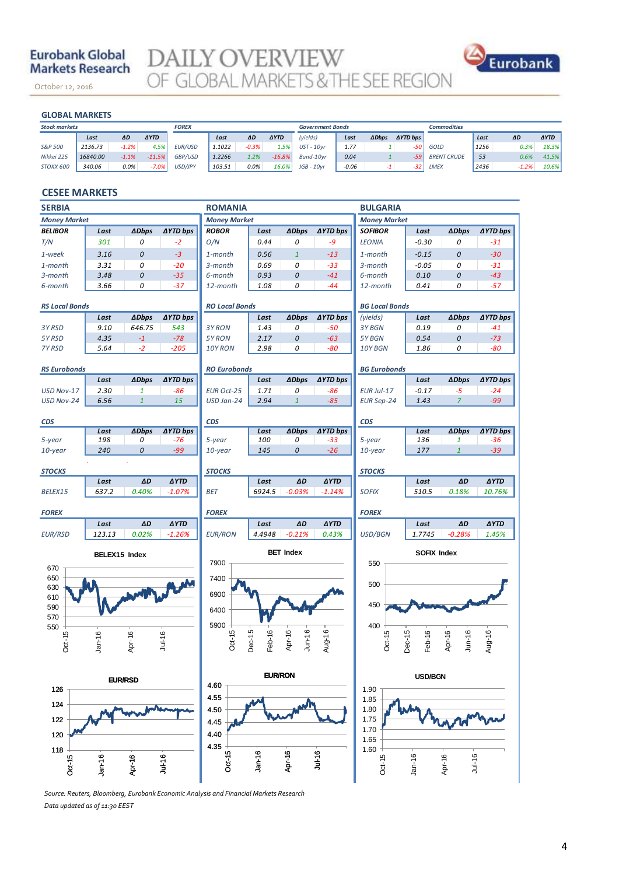#### **Eurobank Global Markets Research**

October 12, 2016

**DAILY OVERVIEW**<br>OF GLOBAL MARKETS & THE SEE REGION



#### **GLOBAL MARKETS**

November 14, 2013

| <b>GLOBAL MARKETS</b> |                                          |                 |        |         |             |              |         |                         |                 |                    |      |         |             |
|-----------------------|------------------------------------------|-----------------|--------|---------|-------------|--------------|---------|-------------------------|-----------------|--------------------|------|---------|-------------|
|                       |                                          | <b>FOREX</b>    |        |         |             |              |         |                         |                 | <b>Commodities</b> |      |         |             |
| ΔD                    | <b>AYTD</b>                              |                 | Last   | ΔD      | <b>AYTD</b> | (yields)     | Last    | <b>ADbps</b>            | <b>AYTD bps</b> |                    | Last | ΔD      | <b>AYTD</b> |
|                       | 4.5%                                     | <b>EUR/USD</b>  | 1.1022 | $-0.3%$ | 1.5%        | $UST - 10yr$ | 1.77    |                         | -50             | GOLD               | 1256 | 0.3%    | 18.3%       |
|                       | $-11.5%$                                 | GBP/USD         | 1.2266 | 1.2%    | $-16.8%$    | Bund-10vr    | 0.04    |                         | $-59$           | <b>BRENT CRUDE</b> | 53   | 0.6%    | 41.5%       |
|                       | $-7.0%$                                  | USD/JPY         | 103.51 | 0.0%    | 16.0%       | $JGB - 10vr$ | $-0.06$ |                         | $-32$           | LMEX               | 2436 | $-1.2%$ | 10.6%       |
| Last                  | 2136.73<br>16840.00<br>$-1.1%$<br>340.06 | $-1.2%$<br>0.0% |        |         |             |              |         | <b>Government Bonds</b> |                 |                    |      |         |             |

#### **CESEE MARKETS**

| <b>SERBIA</b><br><b>ROMANIA</b>  |               |              |                 |                       |                  | <b>BULGARIA</b>  |                 |                       |                  |                             |                 |
|----------------------------------|---------------|--------------|-----------------|-----------------------|------------------|------------------|-----------------|-----------------------|------------------|-----------------------------|-----------------|
| <b>Money Market</b>              |               |              |                 | <b>Money Market</b>   |                  |                  |                 | <b>Money Market</b>   |                  |                             |                 |
| <b>BELIBOR</b>                   | Last          | <b>ADbps</b> | <b>∆YTD bps</b> | <b>ROBOR</b>          | Last             | <b>ADbps</b>     | ∆YTD bps        | <b>SOFIBOR</b>        | Last             | <b>ADbps</b>                | <b>AYTD bps</b> |
| T/N                              | 301           | 0            | $-2$            | O/N                   | 0.44             | 0                | $-9$            | <b>LEONIA</b>         | $-0.30$          | 0                           | $-31$           |
| 1-week                           | 3.16          | 0            | $-3$            | 1-month               | 0.56             | $\mathbf{1}$     | $-13$           | 1-month               | $-0.15$          | 0                           | $-30$           |
| 1-month                          | 3.31          | 0            | $-20$           | 3-month               | 0.69             | 0                | $-33$           | 3-month               | $-0.05$          | 0                           | $-31$           |
| 3-month                          | 3.48          | 0            | $-35$           | 6-month               | 0.93             | 0                | $-41$           | 6-month               | 0.10             | 0                           | $-43$           |
| 6-month                          | 3.66          | 0            | $-37$           | 12-month              | 1.08             | 0                | $-44$           | 12-month              | 0.41             | 0                           | $-57$           |
| <b>RS Local Bonds</b>            |               |              |                 | <b>RO Local Bonds</b> |                  |                  |                 | <b>BG Local Bonds</b> |                  |                             |                 |
|                                  | Last          | <b>ADbps</b> | <b>AYTD bps</b> |                       | Last             | <b>ADbps</b>     | ∆YTD bps        | (yields)              | Last             | <b>ADbps</b>                | <b>AYTD bps</b> |
| 3Y RSD                           | 9.10          | 646.75       | 543             | 3Y RON                | 1.43             | 0                | $-50$           | 3Y BGN                | 0.19             | 0                           | $-41$           |
| 5Y RSD                           | 4.35          | $-1$         | $-78$           | 5Y RON                | 2.17             | 0                | $-63$           | 5Y BGN                | 0.54             | 0                           | $-73$           |
| 7Y RSD                           | 5.64          | $-2$         | $-205$          | 10Y RON               | 2.98             | 0                | $-80$           | 10Y BGN               | 1.86             | 0                           | -80             |
|                                  |               |              |                 |                       |                  |                  |                 |                       |                  |                             |                 |
| <b>RS Eurobonds</b>              |               |              |                 | <b>RO Eurobonds</b>   |                  |                  |                 | <b>BG Eurobonds</b>   |                  |                             |                 |
|                                  | Last          | <b>ADbps</b> | ∆YTD bps        |                       | Last             | <b>ADbps</b>     | ∆YTD bps        |                       | Last             | <b>ADbps</b>                | <b>AYTD bps</b> |
| USD Nov-17                       | 2.30          | $\mathbf{1}$ | -86             | <b>EUR Oct-25</b>     | 1.71             | 0                | $-86$           | <b>EUR Jul-17</b>     | $-0.17$          | $-5$                        | $-24$           |
| USD Nov-24                       | 6.56          | $\mathbf{1}$ | 15              | USD Jan-24            | 2.94             | $\mathbf{1}$     | $-85$           | <b>EUR Sep-24</b>     | 1.43             | $\mathcal{L}_{\mathcal{L}}$ | $-99$           |
|                                  |               |              |                 |                       |                  |                  |                 |                       |                  |                             |                 |
| <b>CDS</b>                       | Last          | <b>ADbps</b> | <b>AYTD bps</b> | <b>CDS</b>            | Last             | <b>ADbps</b>     | <b>AYTD bps</b> | <b>CDS</b>            | Last             | <b>ADbps</b>                | <b>AYTD bps</b> |
| 5-year                           | 198           | 0            | $-76$           | 5-year                | 100              | 0                | $-33$           | 5-year                | 136              | 1                           | $-36$           |
| 10-year                          | 240           | 0            | $-99$           | 10-year               | 145              | 0                | $-26$           | 10-year               | 177              | $\mathbf{1}$                | $-39$           |
|                                  |               |              |                 |                       |                  |                  |                 |                       |                  |                             |                 |
| <b>STOCKS</b>                    |               |              |                 | <b>STOCKS</b>         |                  |                  |                 | <b>STOCKS</b>         |                  |                             |                 |
|                                  | Last          | ΔD           | <b>AYTD</b>     |                       | Last             | AD               | <b>AYTD</b>     |                       | Last             | ΔD                          | <b>AYTD</b>     |
| BELEX15                          | 637.2         | 0.40%        | $-1.07%$        | <b>BET</b>            | 6924.5           | $-0.03%$         | $-1.14%$        | <b>SOFIX</b>          | 510.5            | 0.18%                       | 10.76%          |
| <b>FOREX</b>                     |               |              |                 | <b>FOREX</b>          |                  |                  |                 | <b>FOREX</b>          |                  |                             |                 |
|                                  | Last          | ΔD           | <b>AYTD</b>     |                       | Last             | AD               | <b>AYTD</b>     |                       | Last             | ΔD                          | <b>AYTD</b>     |
| <b>EUR/RSD</b>                   | 123.13        | 0.02%        | $-1.26%$        | <b>EUR/RON</b>        | 4.4948           | $-0.21%$         | 0.43%           | USD/BGN               | 1.7745           | $-0.28%$                    | 1.45%           |
|                                  | BELEX15 Index |              |                 |                       |                  | <b>BET Index</b> |                 | SOFIX Index           |                  |                             |                 |
| 670                              |               |              |                 | 7900                  |                  |                  |                 | 550                   |                  |                             |                 |
| 650                              |               |              |                 | 7400                  |                  |                  |                 |                       |                  |                             |                 |
| 630                              |               |              |                 | 6900                  |                  |                  |                 | 500                   |                  |                             |                 |
| 610                              |               |              |                 |                       |                  |                  |                 | 450                   |                  |                             |                 |
| 590<br>570                       |               |              |                 | 6400                  |                  |                  |                 |                       |                  |                             |                 |
| 550                              |               |              |                 | 5900                  |                  |                  |                 | 400                   |                  |                             |                 |
|                                  |               |              | $Jul-16$        | Oct-15                |                  |                  |                 |                       |                  |                             |                 |
| Oct-15                           | $Jan-16$      | Apr-16       |                 |                       | Dec-15<br>Feb-16 | Apr-16<br>Jun-16 | Aug-16          | Oct-15                | Dec-15<br>Feb-16 | $J$ un-16<br>Apr-16         | Aug-16          |
|                                  |               |              |                 |                       |                  |                  |                 |                       |                  |                             |                 |
| <b>EUR/RON</b><br><b>EUR/RSD</b> |               |              |                 |                       |                  |                  | USD/BGN         |                       |                  |                             |                 |
| 126                              |               | 4.60         |                 |                       |                  |                  | 1.90            |                       |                  |                             |                 |
| 4.55<br>124                      |               |              |                 |                       | 1.85             |                  |                 |                       |                  |                             |                 |
|                                  |               |              |                 | 4.50                  |                  |                  |                 | 1.80                  |                  |                             |                 |
| 122                              |               |              |                 | 4.45                  |                  |                  |                 | 1.75                  |                  |                             |                 |
| 120                              |               |              |                 | 4.40                  |                  |                  |                 | 1.70<br>1.65          |                  |                             |                 |
| 118                              |               |              |                 | 4.35                  |                  |                  |                 | 1.60                  |                  |                             |                 |
|                                  |               |              | $Ju+16$         | $Oct - 15 -$          | $Jan-16$         | Apr-16           | $Ju+16$         | Oct-15                | $Jan-16$         | Jul-16<br>Apr-16            |                 |
| Oct-15                           | $Jan-16$      | Apr-16       |                 |                       |                  |                  |                 |                       |                  |                             |                 |

*Source: Reuters, Bloomberg, Eurobank Economic Analysis and Financial Markets Research Data updated as of 11:30 EEST*